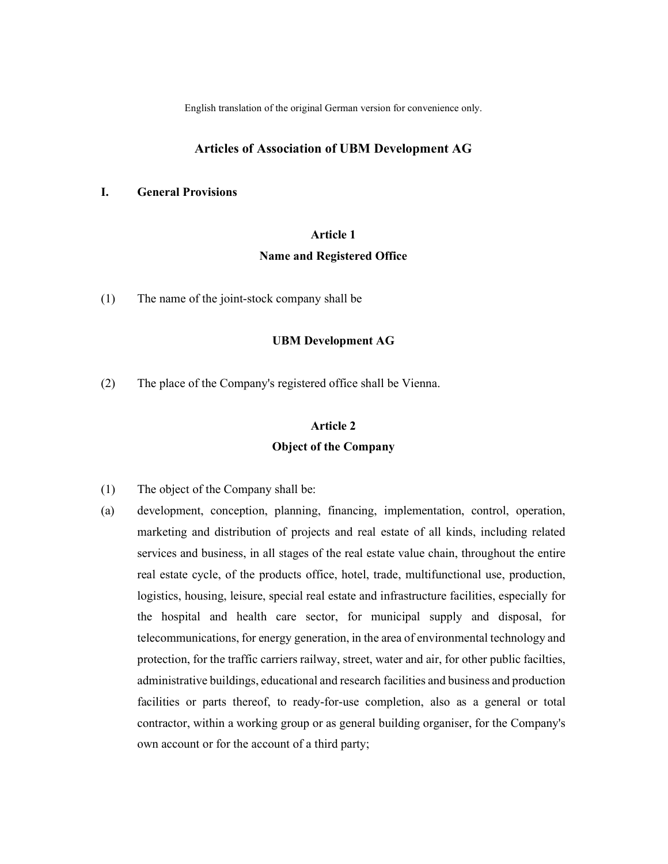English translation of the original German version for convenience only.

## Articles of Association of UBM Development AG

## I. General Provisions

## Article 1

#### Name and Registered Office

(1) The name of the joint-stock company shall be

## UBM Development AG

(2) The place of the Company's registered office shall be Vienna.

# Article 2 Object of the Company

- (1) The object of the Company shall be:
- (a) development, conception, planning, financing, implementation, control, operation, marketing and distribution of projects and real estate of all kinds, including related services and business, in all stages of the real estate value chain, throughout the entire real estate cycle, of the products office, hotel, trade, multifunctional use, production, logistics, housing, leisure, special real estate and infrastructure facilities, especially for the hospital and health care sector, for municipal supply and disposal, for telecommunications, for energy generation, in the area of environmental technology and protection, for the traffic carriers railway, street, water and air, for other public facilties, administrative buildings, educational and research facilities and business and production facilities or parts thereof, to ready-for-use completion, also as a general or total contractor, within a working group or as general building organiser, for the Company's own account or for the account of a third party;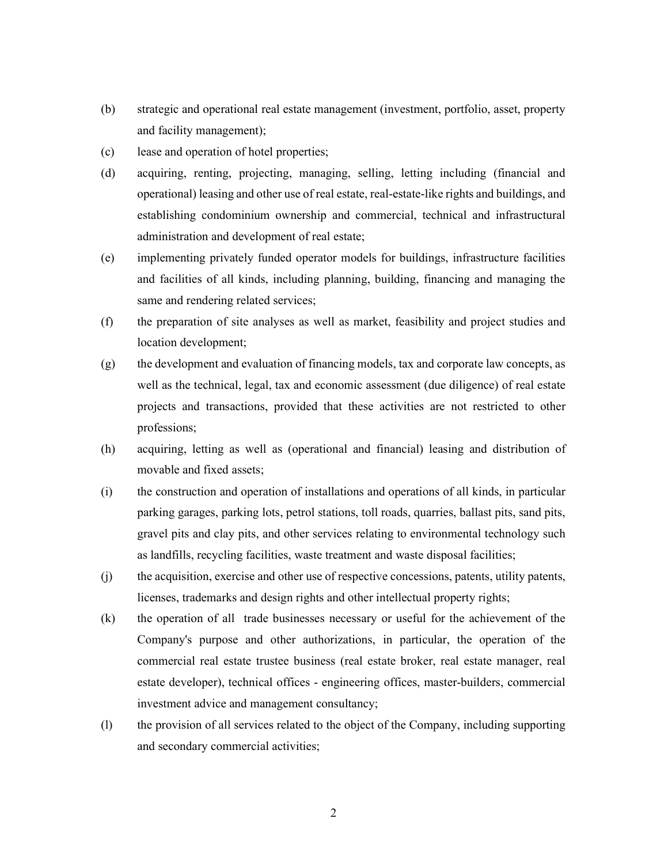- (b) strategic and operational real estate management (investment, portfolio, asset, property and facility management);
- (c) lease and operation of hotel properties;
- (d) acquiring, renting, projecting, managing, selling, letting including (financial and operational) leasing and other use of real estate, real-estate-like rights and buildings, and establishing condominium ownership and commercial, technical and infrastructural administration and development of real estate;
- (e) implementing privately funded operator models for buildings, infrastructure facilities and facilities of all kinds, including planning, building, financing and managing the same and rendering related services;
- (f) the preparation of site analyses as well as market, feasibility and project studies and location development;
- (g) the development and evaluation of financing models, tax and corporate law concepts, as well as the technical, legal, tax and economic assessment (due diligence) of real estate projects and transactions, provided that these activities are not restricted to other professions;
- (h) acquiring, letting as well as (operational and financial) leasing and distribution of movable and fixed assets;
- (i) the construction and operation of installations and operations of all kinds, in particular parking garages, parking lots, petrol stations, toll roads, quarries, ballast pits, sand pits, gravel pits and clay pits, and other services relating to environmental technology such as landfills, recycling facilities, waste treatment and waste disposal facilities;
- (j) the acquisition, exercise and other use of respective concessions, patents, utility patents, licenses, trademarks and design rights and other intellectual property rights;
- (k) the operation of all trade businesses necessary or useful for the achievement of the Company's purpose and other authorizations, in particular, the operation of the commercial real estate trustee business (real estate broker, real estate manager, real estate developer), technical offices - engineering offices, master-builders, commercial investment advice and management consultancy;
- (l) the provision of all services related to the object of the Company, including supporting and secondary commercial activities;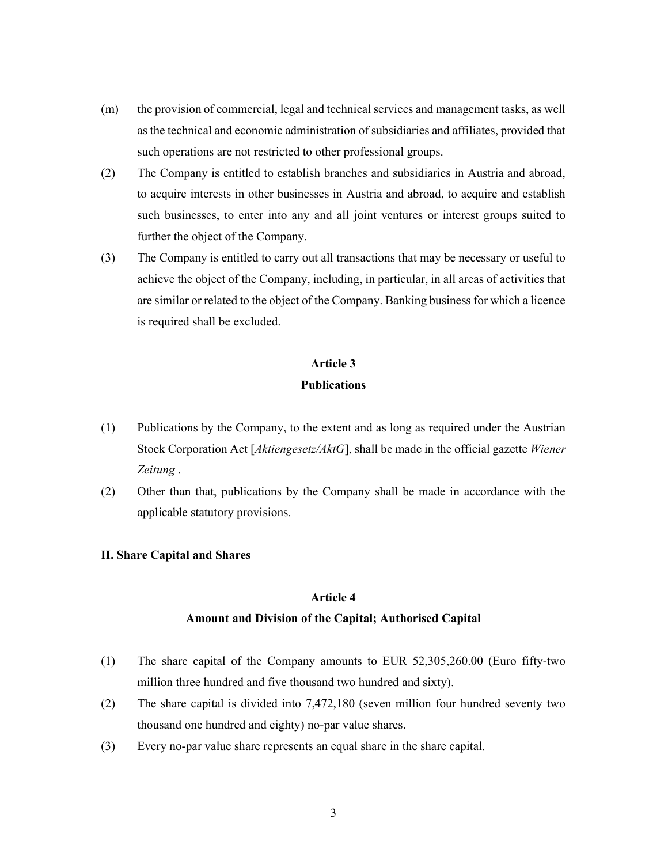- (m) the provision of commercial, legal and technical services and management tasks, as well as the technical and economic administration of subsidiaries and affiliates, provided that such operations are not restricted to other professional groups.
- (2) The Company is entitled to establish branches and subsidiaries in Austria and abroad, to acquire interests in other businesses in Austria and abroad, to acquire and establish such businesses, to enter into any and all joint ventures or interest groups suited to further the object of the Company.
- (3) The Company is entitled to carry out all transactions that may be necessary or useful to achieve the object of the Company, including, in particular, in all areas of activities that are similar or related to the object of the Company. Banking business for which a licence is required shall be excluded.

## Article 3

## Publications

- (1) Publications by the Company, to the extent and as long as required under the Austrian Stock Corporation Act [*Aktiengesetz/AktG*], shall be made in the official gazette *Wiener* Zeitung .
- (2) Other than that, publications by the Company shall be made in accordance with the applicable statutory provisions.

### II. Share Capital and Shares

## Article 4

#### Amount and Division of the Capital; Authorised Capital

- (1) The share capital of the Company amounts to EUR 52,305,260.00 (Euro fifty-two million three hundred and five thousand two hundred and sixty).
- (2) The share capital is divided into 7,472,180 (seven million four hundred seventy two thousand one hundred and eighty) no-par value shares.
- (3) Every no-par value share represents an equal share in the share capital.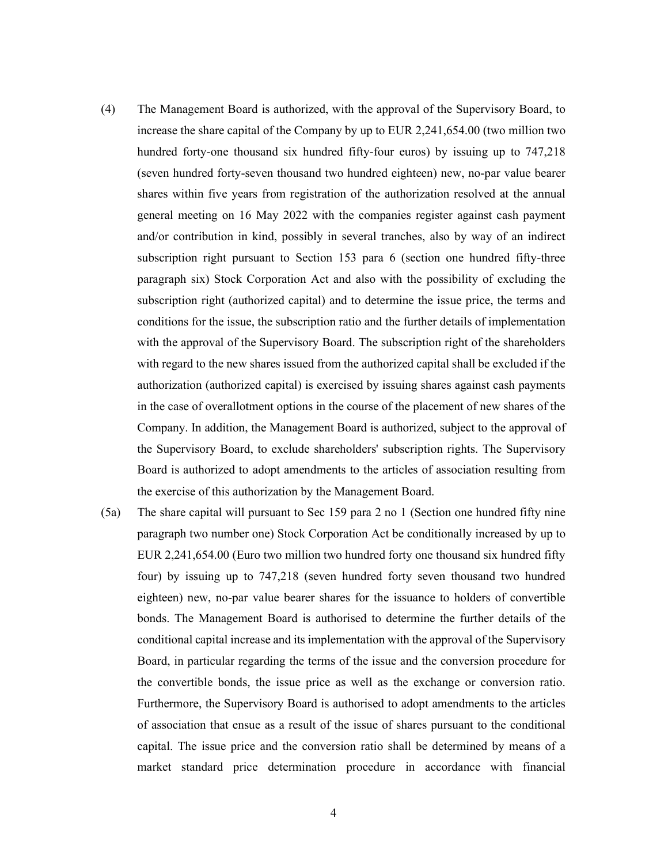- (4) The Management Board is authorized, with the approval of the Supervisory Board, to increase the share capital of the Company by up to EUR 2,241,654.00 (two million two hundred forty-one thousand six hundred fifty-four euros) by issuing up to 747,218 (seven hundred forty-seven thousand two hundred eighteen) new, no-par value bearer shares within five years from registration of the authorization resolved at the annual general meeting on 16 May 2022 with the companies register against cash payment and/or contribution in kind, possibly in several tranches, also by way of an indirect subscription right pursuant to Section 153 para 6 (section one hundred fifty-three paragraph six) Stock Corporation Act and also with the possibility of excluding the subscription right (authorized capital) and to determine the issue price, the terms and conditions for the issue, the subscription ratio and the further details of implementation with the approval of the Supervisory Board. The subscription right of the shareholders with regard to the new shares issued from the authorized capital shall be excluded if the authorization (authorized capital) is exercised by issuing shares against cash payments in the case of overallotment options in the course of the placement of new shares of the Company. In addition, the Management Board is authorized, subject to the approval of the Supervisory Board, to exclude shareholders' subscription rights. The Supervisory Board is authorized to adopt amendments to the articles of association resulting from the exercise of this authorization by the Management Board.
- (5a) The share capital will pursuant to Sec 159 para 2 no 1 (Section one hundred fifty nine paragraph two number one) Stock Corporation Act be conditionally increased by up to EUR 2,241,654.00 (Euro two million two hundred forty one thousand six hundred fifty four) by issuing up to 747,218 (seven hundred forty seven thousand two hundred eighteen) new, no-par value bearer shares for the issuance to holders of convertible bonds. The Management Board is authorised to determine the further details of the conditional capital increase and its implementation with the approval of the Supervisory Board, in particular regarding the terms of the issue and the conversion procedure for the convertible bonds, the issue price as well as the exchange or conversion ratio. Furthermore, the Supervisory Board is authorised to adopt amendments to the articles of association that ensue as a result of the issue of shares pursuant to the conditional capital. The issue price and the conversion ratio shall be determined by means of a market standard price determination procedure in accordance with financial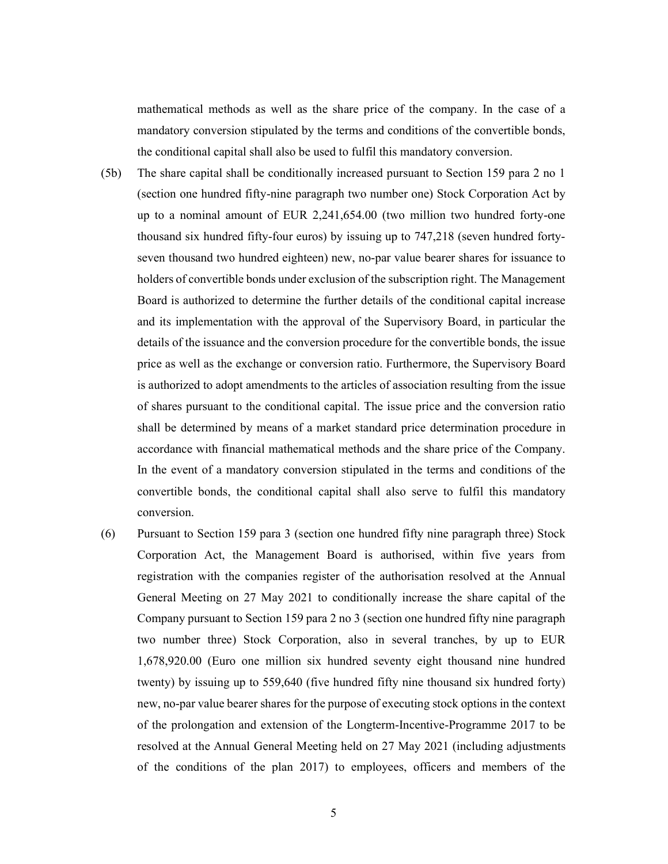mathematical methods as well as the share price of the company. In the case of a mandatory conversion stipulated by the terms and conditions of the convertible bonds, the conditional capital shall also be used to fulfil this mandatory conversion.

- (5b) The share capital shall be conditionally increased pursuant to Section 159 para 2 no 1 (section one hundred fifty-nine paragraph two number one) Stock Corporation Act by up to a nominal amount of EUR 2,241,654.00 (two million two hundred forty-one thousand six hundred fifty-four euros) by issuing up to 747,218 (seven hundred fortyseven thousand two hundred eighteen) new, no-par value bearer shares for issuance to holders of convertible bonds under exclusion of the subscription right. The Management Board is authorized to determine the further details of the conditional capital increase and its implementation with the approval of the Supervisory Board, in particular the details of the issuance and the conversion procedure for the convertible bonds, the issue price as well as the exchange or conversion ratio. Furthermore, the Supervisory Board is authorized to adopt amendments to the articles of association resulting from the issue of shares pursuant to the conditional capital. The issue price and the conversion ratio shall be determined by means of a market standard price determination procedure in accordance with financial mathematical methods and the share price of the Company. In the event of a mandatory conversion stipulated in the terms and conditions of the convertible bonds, the conditional capital shall also serve to fulfil this mandatory conversion.
- (6) Pursuant to Section 159 para 3 (section one hundred fifty nine paragraph three) Stock Corporation Act, the Management Board is authorised, within five years from registration with the companies register of the authorisation resolved at the Annual General Meeting on 27 May 2021 to conditionally increase the share capital of the Company pursuant to Section 159 para 2 no 3 (section one hundred fifty nine paragraph two number three) Stock Corporation, also in several tranches, by up to EUR 1,678,920.00 (Euro one million six hundred seventy eight thousand nine hundred twenty) by issuing up to 559,640 (five hundred fifty nine thousand six hundred forty) new, no-par value bearer shares for the purpose of executing stock options in the context of the prolongation and extension of the Longterm-Incentive-Programme 2017 to be resolved at the Annual General Meeting held on 27 May 2021 (including adjustments of the conditions of the plan 2017) to employees, officers and members of the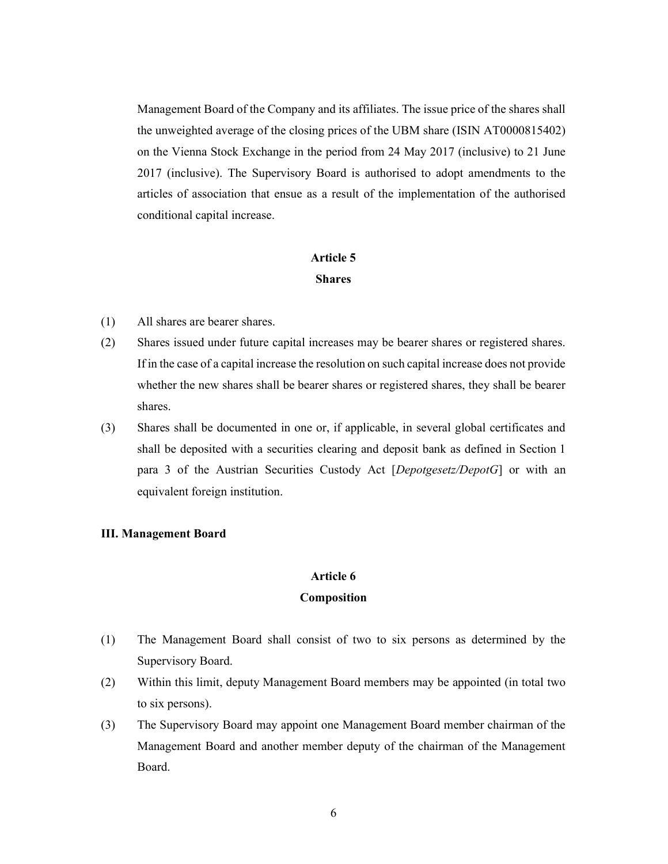Management Board of the Company and its affiliates. The issue price of the shares shall the unweighted average of the closing prices of the UBM share (ISIN AT0000815402) on the Vienna Stock Exchange in the period from 24 May 2017 (inclusive) to 21 June 2017 (inclusive). The Supervisory Board is authorised to adopt amendments to the articles of association that ensue as a result of the implementation of the authorised conditional capital increase.

## Article 5 Shares

- (1) All shares are bearer shares.
- (2) Shares issued under future capital increases may be bearer shares or registered shares. If in the case of a capital increase the resolution on such capital increase does not provide whether the new shares shall be bearer shares or registered shares, they shall be bearer shares.
- (3) Shares shall be documented in one or, if applicable, in several global certificates and shall be deposited with a securities clearing and deposit bank as defined in Section 1 para 3 of the Austrian Securities Custody Act [Depotgesetz/DepotG] or with an equivalent foreign institution.

## III. Management Board

## Article 6

### Composition

- (1) The Management Board shall consist of two to six persons as determined by the Supervisory Board.
- (2) Within this limit, deputy Management Board members may be appointed (in total two to six persons).
- (3) The Supervisory Board may appoint one Management Board member chairman of the Management Board and another member deputy of the chairman of the Management Board.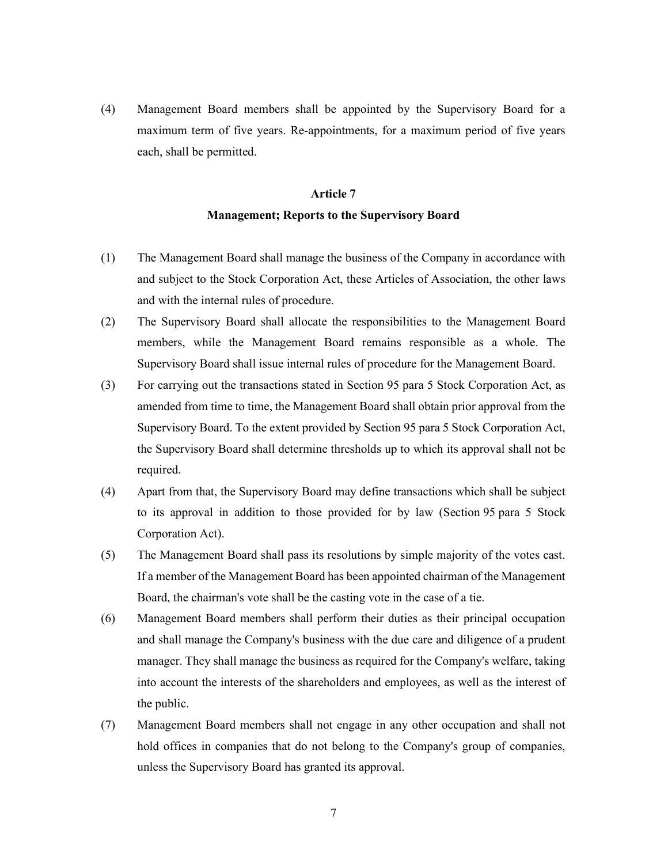(4) Management Board members shall be appointed by the Supervisory Board for a maximum term of five years. Re-appointments, for a maximum period of five years each, shall be permitted.

# Article 7 Management; Reports to the Supervisory Board

- (1) The Management Board shall manage the business of the Company in accordance with and subject to the Stock Corporation Act, these Articles of Association, the other laws and with the internal rules of procedure.
- (2) The Supervisory Board shall allocate the responsibilities to the Management Board members, while the Management Board remains responsible as a whole. The Supervisory Board shall issue internal rules of procedure for the Management Board.
- (3) For carrying out the transactions stated in Section 95 para 5 Stock Corporation Act, as amended from time to time, the Management Board shall obtain prior approval from the Supervisory Board. To the extent provided by Section 95 para 5 Stock Corporation Act, the Supervisory Board shall determine thresholds up to which its approval shall not be required.
- (4) Apart from that, the Supervisory Board may define transactions which shall be subject to its approval in addition to those provided for by law (Section 95 para 5 Stock Corporation Act).
- (5) The Management Board shall pass its resolutions by simple majority of the votes cast. If a member of the Management Board has been appointed chairman of the Management Board, the chairman's vote shall be the casting vote in the case of a tie.
- (6) Management Board members shall perform their duties as their principal occupation and shall manage the Company's business with the due care and diligence of a prudent manager. They shall manage the business as required for the Company's welfare, taking into account the interests of the shareholders and employees, as well as the interest of the public.
- (7) Management Board members shall not engage in any other occupation and shall not hold offices in companies that do not belong to the Company's group of companies, unless the Supervisory Board has granted its approval.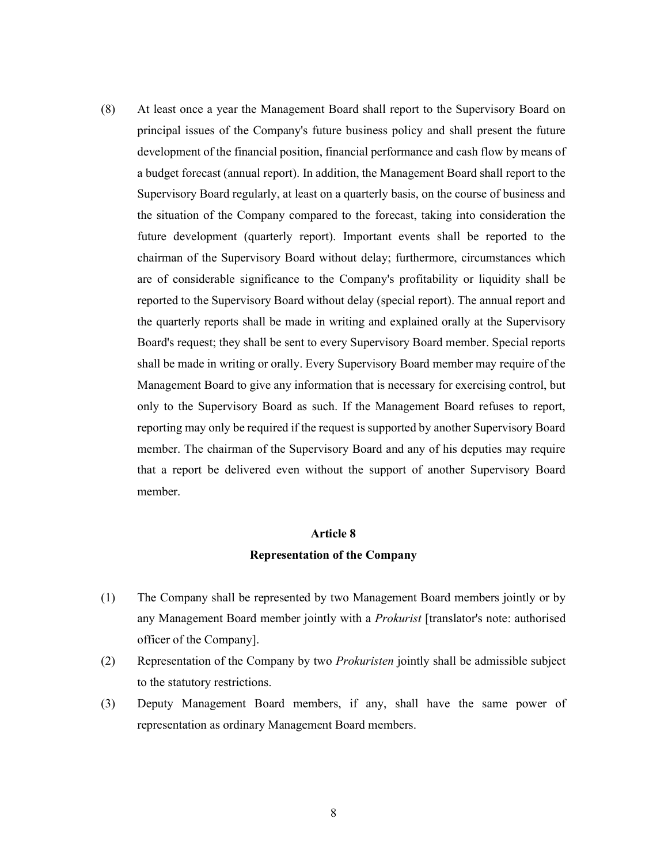(8) At least once a year the Management Board shall report to the Supervisory Board on principal issues of the Company's future business policy and shall present the future development of the financial position, financial performance and cash flow by means of a budget forecast (annual report). In addition, the Management Board shall report to the Supervisory Board regularly, at least on a quarterly basis, on the course of business and the situation of the Company compared to the forecast, taking into consideration the future development (quarterly report). Important events shall be reported to the chairman of the Supervisory Board without delay; furthermore, circumstances which are of considerable significance to the Company's profitability or liquidity shall be reported to the Supervisory Board without delay (special report). The annual report and the quarterly reports shall be made in writing and explained orally at the Supervisory Board's request; they shall be sent to every Supervisory Board member. Special reports shall be made in writing or orally. Every Supervisory Board member may require of the Management Board to give any information that is necessary for exercising control, but only to the Supervisory Board as such. If the Management Board refuses to report, reporting may only be required if the request is supported by another Supervisory Board member. The chairman of the Supervisory Board and any of his deputies may require that a report be delivered even without the support of another Supervisory Board member.

# Article 8 Representation of the Company

- (1) The Company shall be represented by two Management Board members jointly or by any Management Board member jointly with a *Prokurist* [translator's note: authorised officer of the Company].
- (2) Representation of the Company by two Prokuristen jointly shall be admissible subject to the statutory restrictions.
- (3) Deputy Management Board members, if any, shall have the same power of representation as ordinary Management Board members.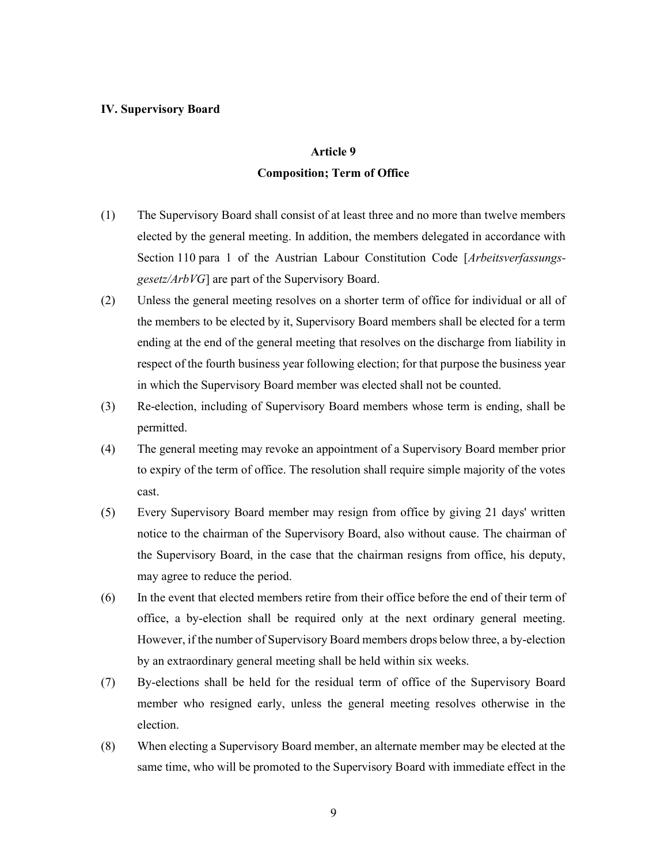#### IV. Supervisory Board

### Article 9

#### Composition; Term of Office

- (1) The Supervisory Board shall consist of at least three and no more than twelve members elected by the general meeting. In addition, the members delegated in accordance with Section 110 para 1 of the Austrian Labour Constitution Code [Arbeitsverfassungsgesetz/ArbVG] are part of the Supervisory Board.
- (2) Unless the general meeting resolves on a shorter term of office for individual or all of the members to be elected by it, Supervisory Board members shall be elected for a term ending at the end of the general meeting that resolves on the discharge from liability in respect of the fourth business year following election; for that purpose the business year in which the Supervisory Board member was elected shall not be counted.
- (3) Re-election, including of Supervisory Board members whose term is ending, shall be permitted.
- (4) The general meeting may revoke an appointment of a Supervisory Board member prior to expiry of the term of office. The resolution shall require simple majority of the votes cast.
- (5) Every Supervisory Board member may resign from office by giving 21 days' written notice to the chairman of the Supervisory Board, also without cause. The chairman of the Supervisory Board, in the case that the chairman resigns from office, his deputy, may agree to reduce the period.
- (6) In the event that elected members retire from their office before the end of their term of office, a by-election shall be required only at the next ordinary general meeting. However, if the number of Supervisory Board members drops below three, a by-election by an extraordinary general meeting shall be held within six weeks.
- (7) By-elections shall be held for the residual term of office of the Supervisory Board member who resigned early, unless the general meeting resolves otherwise in the election.
- (8) When electing a Supervisory Board member, an alternate member may be elected at the same time, who will be promoted to the Supervisory Board with immediate effect in the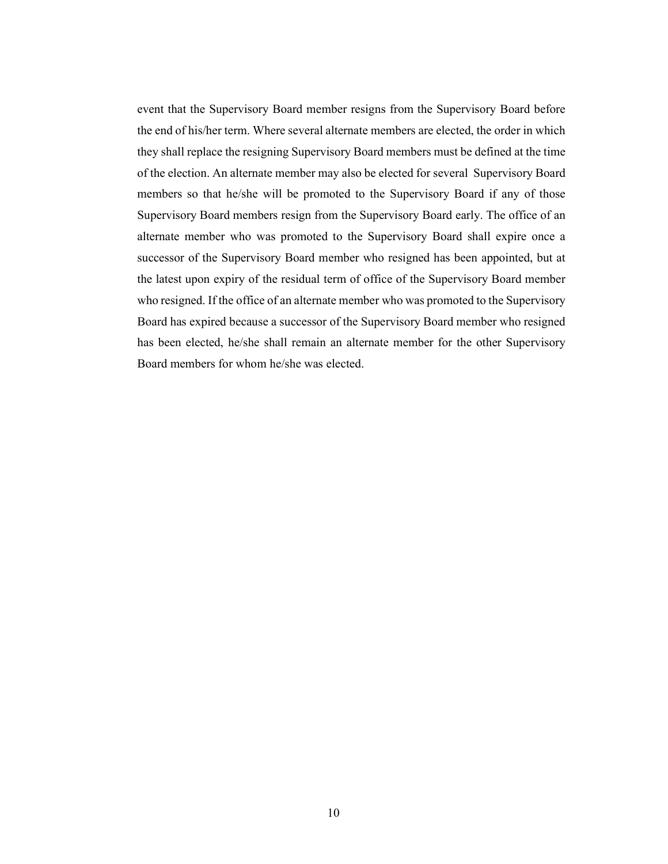event that the Supervisory Board member resigns from the Supervisory Board before the end of his/her term. Where several alternate members are elected, the order in which they shall replace the resigning Supervisory Board members must be defined at the time of the election. An alternate member may also be elected for several Supervisory Board members so that he/she will be promoted to the Supervisory Board if any of those Supervisory Board members resign from the Supervisory Board early. The office of an alternate member who was promoted to the Supervisory Board shall expire once a successor of the Supervisory Board member who resigned has been appointed, but at the latest upon expiry of the residual term of office of the Supervisory Board member who resigned. If the office of an alternate member who was promoted to the Supervisory Board has expired because a successor of the Supervisory Board member who resigned has been elected, he/she shall remain an alternate member for the other Supervisory Board members for whom he/she was elected.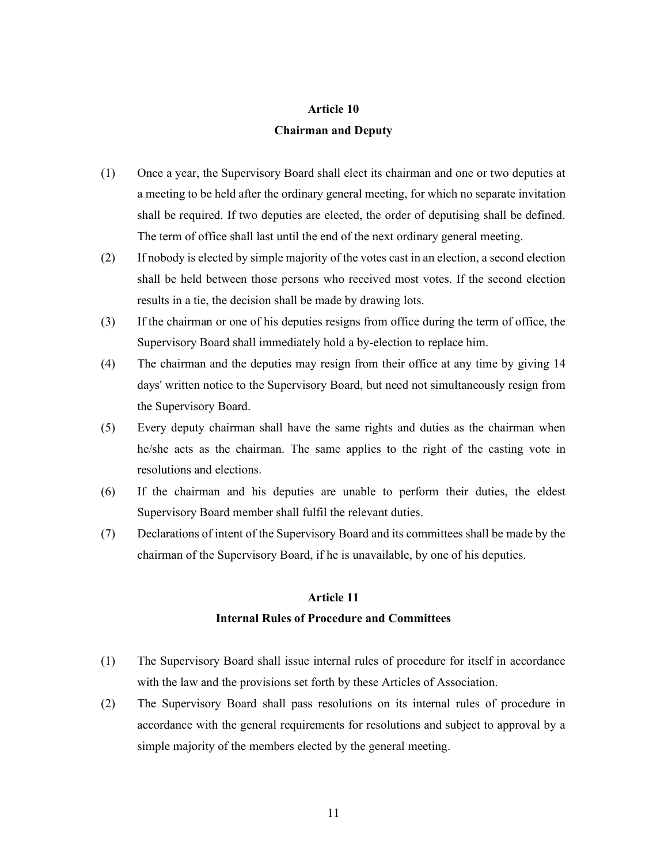### Article 10

### Chairman and Deputy

- (1) Once a year, the Supervisory Board shall elect its chairman and one or two deputies at a meeting to be held after the ordinary general meeting, for which no separate invitation shall be required. If two deputies are elected, the order of deputising shall be defined. The term of office shall last until the end of the next ordinary general meeting.
- (2) If nobody is elected by simple majority of the votes cast in an election, a second election shall be held between those persons who received most votes. If the second election results in a tie, the decision shall be made by drawing lots.
- (3) If the chairman or one of his deputies resigns from office during the term of office, the Supervisory Board shall immediately hold a by-election to replace him.
- (4) The chairman and the deputies may resign from their office at any time by giving 14 days' written notice to the Supervisory Board, but need not simultaneously resign from the Supervisory Board.
- (5) Every deputy chairman shall have the same rights and duties as the chairman when he/she acts as the chairman. The same applies to the right of the casting vote in resolutions and elections.
- (6) If the chairman and his deputies are unable to perform their duties, the eldest Supervisory Board member shall fulfil the relevant duties.
- (7) Declarations of intent of the Supervisory Board and its committees shall be made by the chairman of the Supervisory Board, if he is unavailable, by one of his deputies.

#### Article 11

## Internal Rules of Procedure and Committees

- (1) The Supervisory Board shall issue internal rules of procedure for itself in accordance with the law and the provisions set forth by these Articles of Association.
- (2) The Supervisory Board shall pass resolutions on its internal rules of procedure in accordance with the general requirements for resolutions and subject to approval by a simple majority of the members elected by the general meeting.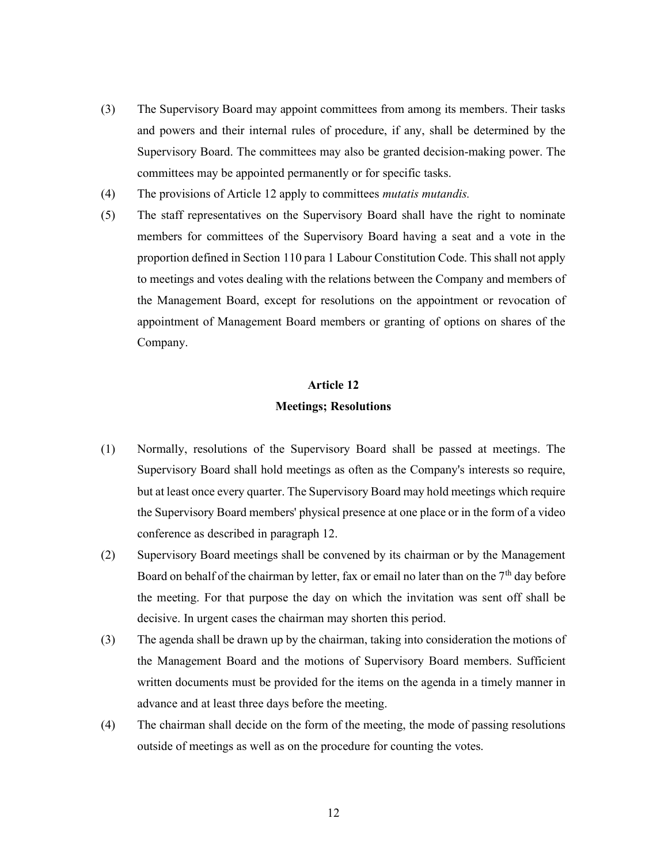- (3) The Supervisory Board may appoint committees from among its members. Their tasks and powers and their internal rules of procedure, if any, shall be determined by the Supervisory Board. The committees may also be granted decision-making power. The committees may be appointed permanently or for specific tasks.
- (4) The provisions of Article 12 apply to committees mutatis mutandis.
- (5) The staff representatives on the Supervisory Board shall have the right to nominate members for committees of the Supervisory Board having a seat and a vote in the proportion defined in Section 110 para 1 Labour Constitution Code. This shall not apply to meetings and votes dealing with the relations between the Company and members of the Management Board, except for resolutions on the appointment or revocation of appointment of Management Board members or granting of options on shares of the Company.

# Article 12 Meetings; Resolutions

- (1) Normally, resolutions of the Supervisory Board shall be passed at meetings. The Supervisory Board shall hold meetings as often as the Company's interests so require, but at least once every quarter. The Supervisory Board may hold meetings which require the Supervisory Board members' physical presence at one place or in the form of a video conference as described in paragraph 12.
- (2) Supervisory Board meetings shall be convened by its chairman or by the Management Board on behalf of the chairman by letter, fax or email no later than on the  $7<sup>th</sup>$  day before the meeting. For that purpose the day on which the invitation was sent off shall be decisive. In urgent cases the chairman may shorten this period.
- (3) The agenda shall be drawn up by the chairman, taking into consideration the motions of the Management Board and the motions of Supervisory Board members. Sufficient written documents must be provided for the items on the agenda in a timely manner in advance and at least three days before the meeting.
- (4) The chairman shall decide on the form of the meeting, the mode of passing resolutions outside of meetings as well as on the procedure for counting the votes.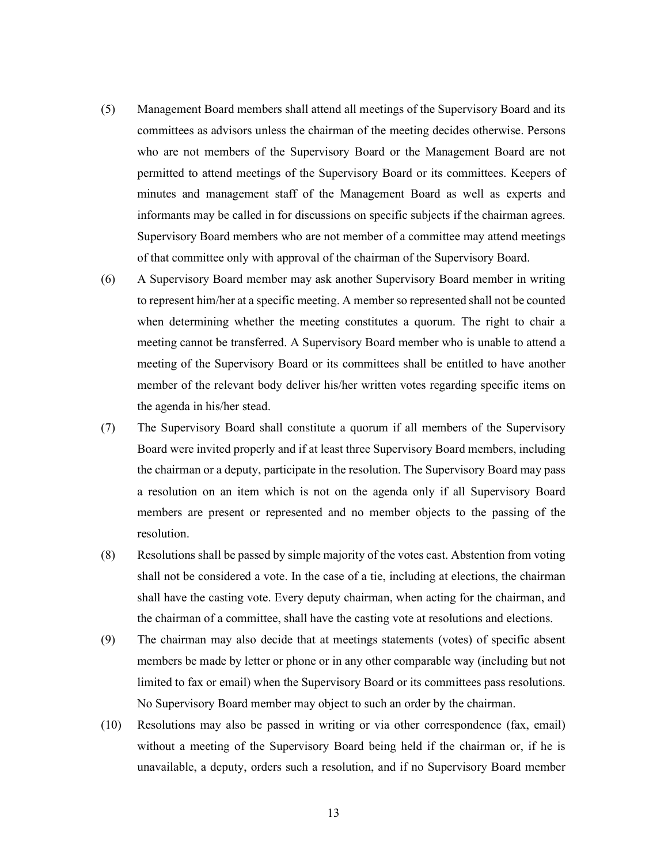- (5) Management Board members shall attend all meetings of the Supervisory Board and its committees as advisors unless the chairman of the meeting decides otherwise. Persons who are not members of the Supervisory Board or the Management Board are not permitted to attend meetings of the Supervisory Board or its committees. Keepers of minutes and management staff of the Management Board as well as experts and informants may be called in for discussions on specific subjects if the chairman agrees. Supervisory Board members who are not member of a committee may attend meetings of that committee only with approval of the chairman of the Supervisory Board.
- (6) A Supervisory Board member may ask another Supervisory Board member in writing to represent him/her at a specific meeting. A member so represented shall not be counted when determining whether the meeting constitutes a quorum. The right to chair a meeting cannot be transferred. A Supervisory Board member who is unable to attend a meeting of the Supervisory Board or its committees shall be entitled to have another member of the relevant body deliver his/her written votes regarding specific items on the agenda in his/her stead.
- (7) The Supervisory Board shall constitute a quorum if all members of the Supervisory Board were invited properly and if at least three Supervisory Board members, including the chairman or a deputy, participate in the resolution. The Supervisory Board may pass a resolution on an item which is not on the agenda only if all Supervisory Board members are present or represented and no member objects to the passing of the resolution.
- (8) Resolutions shall be passed by simple majority of the votes cast. Abstention from voting shall not be considered a vote. In the case of a tie, including at elections, the chairman shall have the casting vote. Every deputy chairman, when acting for the chairman, and the chairman of a committee, shall have the casting vote at resolutions and elections.
- (9) The chairman may also decide that at meetings statements (votes) of specific absent members be made by letter or phone or in any other comparable way (including but not limited to fax or email) when the Supervisory Board or its committees pass resolutions. No Supervisory Board member may object to such an order by the chairman.
- (10) Resolutions may also be passed in writing or via other correspondence (fax, email) without a meeting of the Supervisory Board being held if the chairman or, if he is unavailable, a deputy, orders such a resolution, and if no Supervisory Board member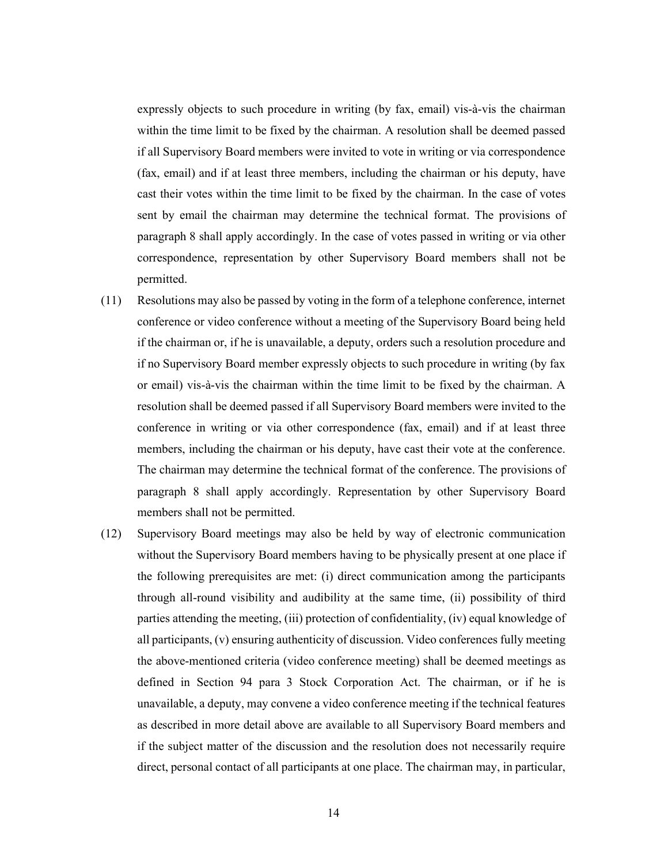expressly objects to such procedure in writing (by fax, email) vis-à-vis the chairman within the time limit to be fixed by the chairman. A resolution shall be deemed passed if all Supervisory Board members were invited to vote in writing or via correspondence (fax, email) and if at least three members, including the chairman or his deputy, have cast their votes within the time limit to be fixed by the chairman. In the case of votes sent by email the chairman may determine the technical format. The provisions of paragraph 8 shall apply accordingly. In the case of votes passed in writing or via other correspondence, representation by other Supervisory Board members shall not be permitted.

- (11) Resolutions may also be passed by voting in the form of a telephone conference, internet conference or video conference without a meeting of the Supervisory Board being held if the chairman or, if he is unavailable, a deputy, orders such a resolution procedure and if no Supervisory Board member expressly objects to such procedure in writing (by fax or email) vis-à-vis the chairman within the time limit to be fixed by the chairman. A resolution shall be deemed passed if all Supervisory Board members were invited to the conference in writing or via other correspondence (fax, email) and if at least three members, including the chairman or his deputy, have cast their vote at the conference. The chairman may determine the technical format of the conference. The provisions of paragraph 8 shall apply accordingly. Representation by other Supervisory Board members shall not be permitted.
- (12) Supervisory Board meetings may also be held by way of electronic communication without the Supervisory Board members having to be physically present at one place if the following prerequisites are met: (i) direct communication among the participants through all-round visibility and audibility at the same time, (ii) possibility of third parties attending the meeting, (iii) protection of confidentiality, (iv) equal knowledge of all participants, (v) ensuring authenticity of discussion. Video conferences fully meeting the above-mentioned criteria (video conference meeting) shall be deemed meetings as defined in Section 94 para 3 Stock Corporation Act. The chairman, or if he is unavailable, a deputy, may convene a video conference meeting if the technical features as described in more detail above are available to all Supervisory Board members and if the subject matter of the discussion and the resolution does not necessarily require direct, personal contact of all participants at one place. The chairman may, in particular,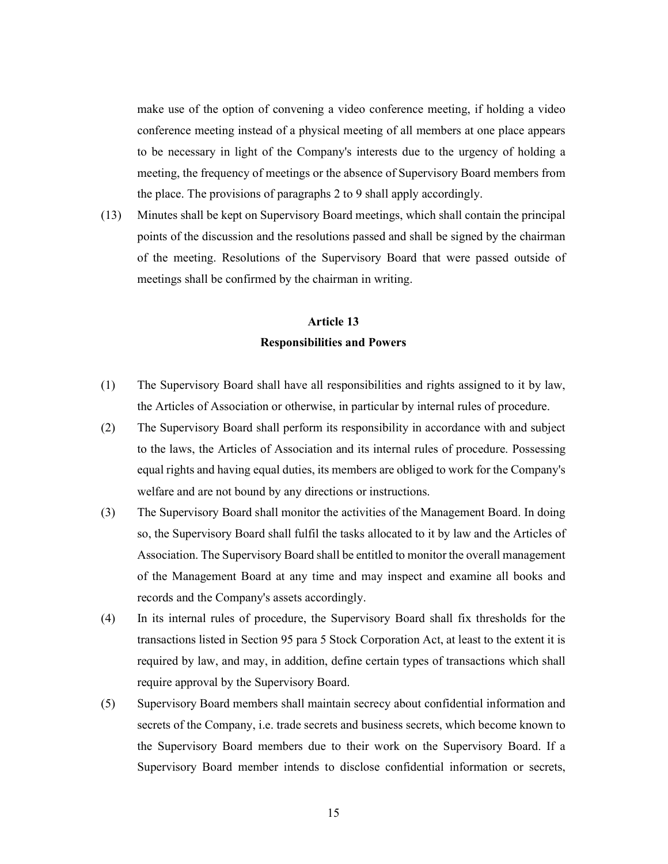make use of the option of convening a video conference meeting, if holding a video conference meeting instead of a physical meeting of all members at one place appears to be necessary in light of the Company's interests due to the urgency of holding a meeting, the frequency of meetings or the absence of Supervisory Board members from the place. The provisions of paragraphs 2 to 9 shall apply accordingly.

(13) Minutes shall be kept on Supervisory Board meetings, which shall contain the principal points of the discussion and the resolutions passed and shall be signed by the chairman of the meeting. Resolutions of the Supervisory Board that were passed outside of meetings shall be confirmed by the chairman in writing.

# Article 13 Responsibilities and Powers

- (1) The Supervisory Board shall have all responsibilities and rights assigned to it by law, the Articles of Association or otherwise, in particular by internal rules of procedure.
- (2) The Supervisory Board shall perform its responsibility in accordance with and subject to the laws, the Articles of Association and its internal rules of procedure. Possessing equal rights and having equal duties, its members are obliged to work for the Company's welfare and are not bound by any directions or instructions.
- (3) The Supervisory Board shall monitor the activities of the Management Board. In doing so, the Supervisory Board shall fulfil the tasks allocated to it by law and the Articles of Association. The Supervisory Board shall be entitled to monitor the overall management of the Management Board at any time and may inspect and examine all books and records and the Company's assets accordingly.
- (4) In its internal rules of procedure, the Supervisory Board shall fix thresholds for the transactions listed in Section 95 para 5 Stock Corporation Act, at least to the extent it is required by law, and may, in addition, define certain types of transactions which shall require approval by the Supervisory Board.
- (5) Supervisory Board members shall maintain secrecy about confidential information and secrets of the Company, i.e. trade secrets and business secrets, which become known to the Supervisory Board members due to their work on the Supervisory Board. If a Supervisory Board member intends to disclose confidential information or secrets,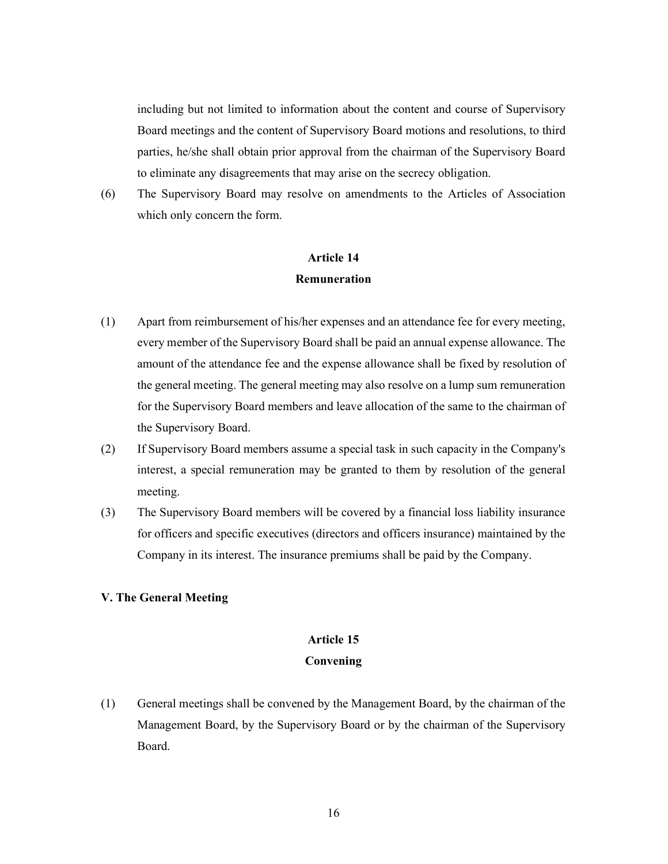including but not limited to information about the content and course of Supervisory Board meetings and the content of Supervisory Board motions and resolutions, to third parties, he/she shall obtain prior approval from the chairman of the Supervisory Board to eliminate any disagreements that may arise on the secrecy obligation.

(6) The Supervisory Board may resolve on amendments to the Articles of Association which only concern the form.

## Article 14 **Remuneration**

- (1) Apart from reimbursement of his/her expenses and an attendance fee for every meeting, every member of the Supervisory Board shall be paid an annual expense allowance. The amount of the attendance fee and the expense allowance shall be fixed by resolution of the general meeting. The general meeting may also resolve on a lump sum remuneration for the Supervisory Board members and leave allocation of the same to the chairman of the Supervisory Board.
- (2) If Supervisory Board members assume a special task in such capacity in the Company's interest, a special remuneration may be granted to them by resolution of the general meeting.
- (3) The Supervisory Board members will be covered by a financial loss liability insurance for officers and specific executives (directors and officers insurance) maintained by the Company in its interest. The insurance premiums shall be paid by the Company.

## V. The General Meeting

## Article 15

### Convening

(1) General meetings shall be convened by the Management Board, by the chairman of the Management Board, by the Supervisory Board or by the chairman of the Supervisory Board.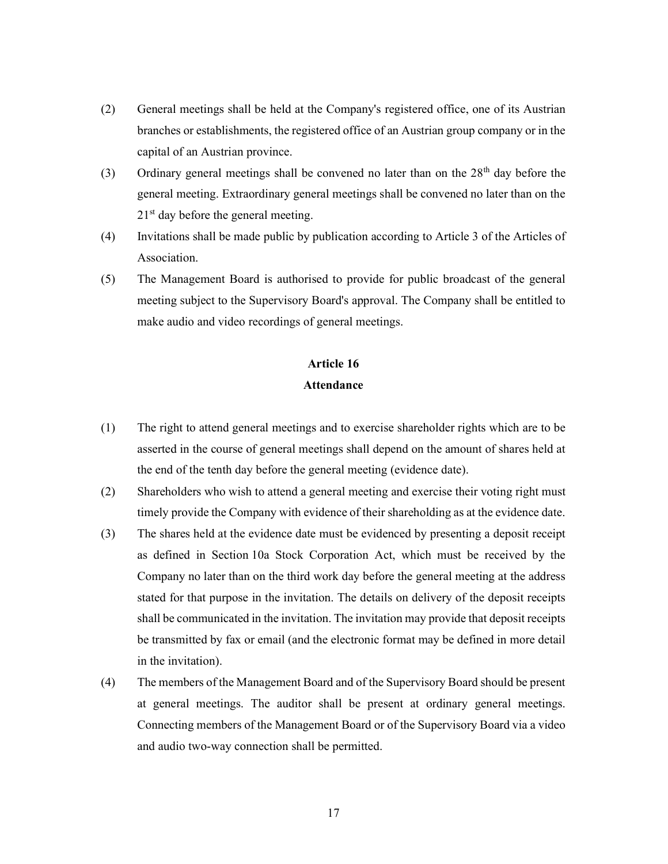- (2) General meetings shall be held at the Company's registered office, one of its Austrian branches or establishments, the registered office of an Austrian group company or in the capital of an Austrian province.
- (3) Ordinary general meetings shall be convened no later than on the  $28<sup>th</sup>$  day before the general meeting. Extraordinary general meetings shall be convened no later than on the  $21<sup>st</sup>$  day before the general meeting.
- (4) Invitations shall be made public by publication according to Article 3 of the Articles of Association.
- (5) The Management Board is authorised to provide for public broadcast of the general meeting subject to the Supervisory Board's approval. The Company shall be entitled to make audio and video recordings of general meetings.

# Article 16 Attendance

- (1) The right to attend general meetings and to exercise shareholder rights which are to be asserted in the course of general meetings shall depend on the amount of shares held at the end of the tenth day before the general meeting (evidence date).
- (2) Shareholders who wish to attend a general meeting and exercise their voting right must timely provide the Company with evidence of their shareholding as at the evidence date.
- (3) The shares held at the evidence date must be evidenced by presenting a deposit receipt as defined in Section 10a Stock Corporation Act, which must be received by the Company no later than on the third work day before the general meeting at the address stated for that purpose in the invitation. The details on delivery of the deposit receipts shall be communicated in the invitation. The invitation may provide that deposit receipts be transmitted by fax or email (and the electronic format may be defined in more detail in the invitation).
- (4) The members of the Management Board and of the Supervisory Board should be present at general meetings. The auditor shall be present at ordinary general meetings. Connecting members of the Management Board or of the Supervisory Board via a video and audio two-way connection shall be permitted.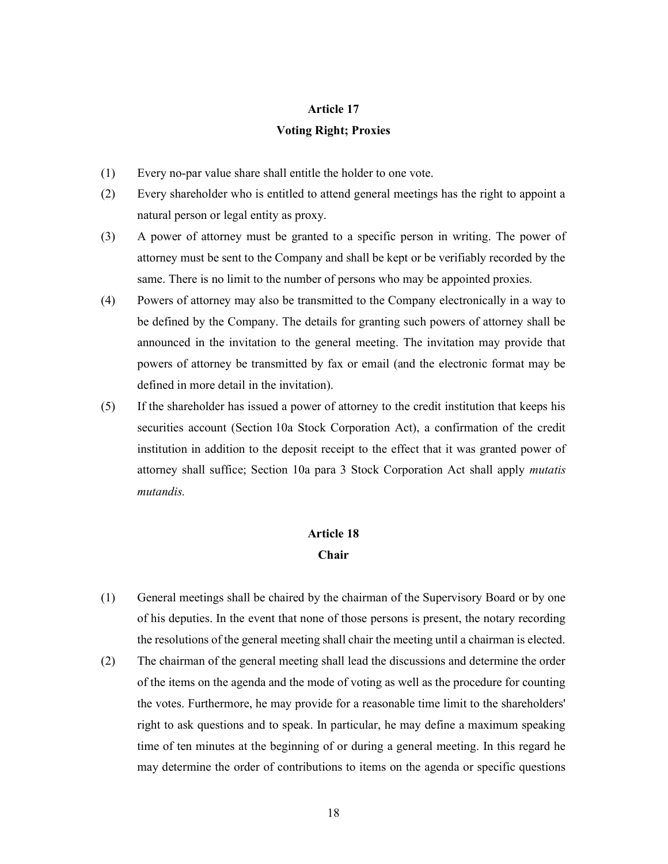## Article 17

### Voting Right; Proxies

- (1) Every no-par value share shall entitle the holder to one vote.
- (2) Every shareholder who is entitled to attend general meetings has the right to appoint a natural person or legal entity as proxy.
- (3) A power of attorney must be granted to a specific person in writing. The power of attorney must be sent to the Company and shall be kept or be verifiably recorded by the same. There is no limit to the number of persons who may be appointed proxies.
- (4) Powers of attorney may also be transmitted to the Company electronically in a way to be defined by the Company. The details for granting such powers of attorney shall be announced in the invitation to the general meeting. The invitation may provide that powers of attorney be transmitted by fax or email (and the electronic format may be defined in more detail in the invitation).
- (5) If the shareholder has issued a power of attorney to the credit institution that keeps his securities account (Section 10a Stock Corporation Act), a confirmation of the credit institution in addition to the deposit receipt to the effect that it was granted power of attorney shall suffice; Section 10a para 3 Stock Corporation Act shall apply mutatis mutandis.

# Article 18 Chair

- (1) General meetings shall be chaired by the chairman of the Supervisory Board or by one of his deputies. In the event that none of those persons is present, the notary recording the resolutions of the general meeting shall chair the meeting until a chairman is elected.
- (2) The chairman of the general meeting shall lead the discussions and determine the order of the items on the agenda and the mode of voting as well as the procedure for counting the votes. Furthermore, he may provide for a reasonable time limit to the shareholders' right to ask questions and to speak. In particular, he may define a maximum speaking time of ten minutes at the beginning of or during a general meeting. In this regard he may determine the order of contributions to items on the agenda or specific questions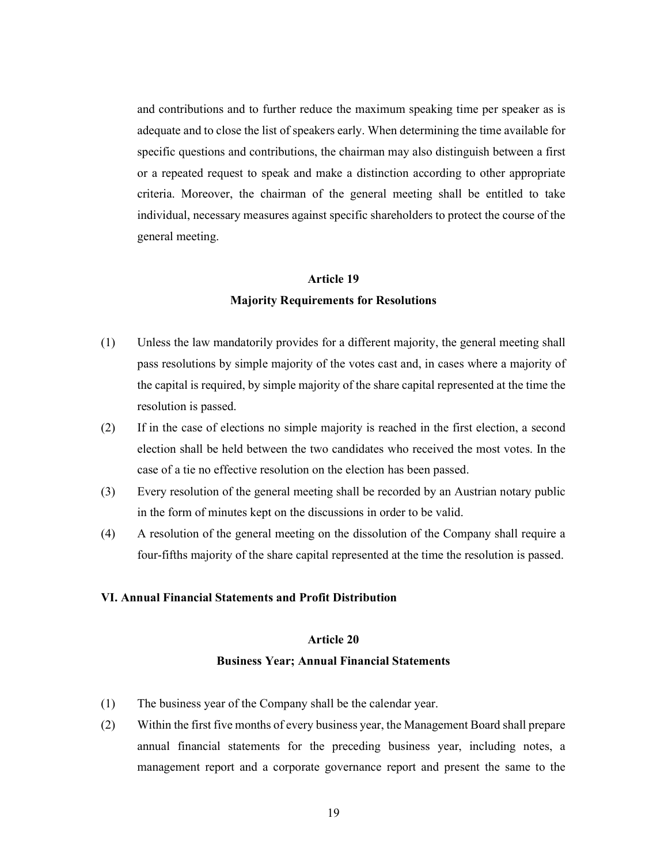and contributions and to further reduce the maximum speaking time per speaker as is adequate and to close the list of speakers early. When determining the time available for specific questions and contributions, the chairman may also distinguish between a first or a repeated request to speak and make a distinction according to other appropriate criteria. Moreover, the chairman of the general meeting shall be entitled to take individual, necessary measures against specific shareholders to protect the course of the general meeting.

#### Article 19

## Majority Requirements for Resolutions

- (1) Unless the law mandatorily provides for a different majority, the general meeting shall pass resolutions by simple majority of the votes cast and, in cases where a majority of the capital is required, by simple majority of the share capital represented at the time the resolution is passed.
- (2) If in the case of elections no simple majority is reached in the first election, a second election shall be held between the two candidates who received the most votes. In the case of a tie no effective resolution on the election has been passed.
- (3) Every resolution of the general meeting shall be recorded by an Austrian notary public in the form of minutes kept on the discussions in order to be valid.
- (4) A resolution of the general meeting on the dissolution of the Company shall require a four-fifths majority of the share capital represented at the time the resolution is passed.

### VI. Annual Financial Statements and Profit Distribution

#### Article 20

### Business Year; Annual Financial Statements

- (1) The business year of the Company shall be the calendar year.
- (2) Within the first five months of every business year, the Management Board shall prepare annual financial statements for the preceding business year, including notes, a management report and a corporate governance report and present the same to the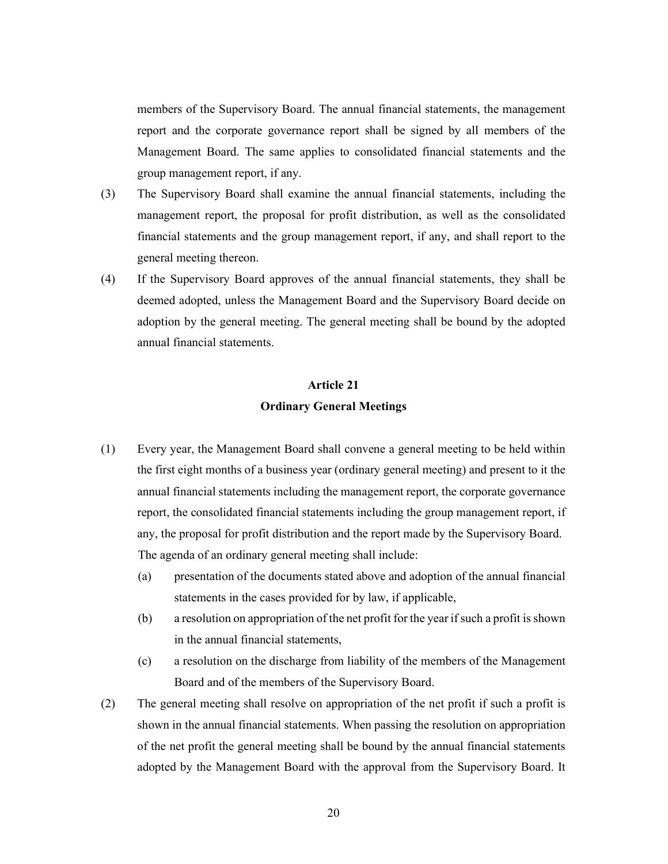members of the Supervisory Board. The annual financial statements, the management report and the corporate governance report shall be signed by all members of the Management Board. The same applies to consolidated financial statements and the group management report, if any.

- (3) The Supervisory Board shall examine the annual financial statements, including the management report, the proposal for profit distribution, as well as the consolidated financial statements and the group management report, if any, and shall report to the general meeting thereon.
- (4) If the Supervisory Board approves of the annual financial statements, they shall be deemed adopted, unless the Management Board and the Supervisory Board decide on adoption by the general meeting. The general meeting shall be bound by the adopted annual financial statements.

# Article 21 Ordinary General Meetings

- (1) Every year, the Management Board shall convene a general meeting to be held within the first eight months of a business year (ordinary general meeting) and present to it the annual financial statements including the management report, the corporate governance report, the consolidated financial statements including the group management report, if any, the proposal for profit distribution and the report made by the Supervisory Board. The agenda of an ordinary general meeting shall include:
	- (a) presentation of the documents stated above and adoption of the annual financial statements in the cases provided for by law, if applicable,
	- (b) a resolution on appropriation of the net profit for the year if such a profit is shown in the annual financial statements,
	- (c) a resolution on the discharge from liability of the members of the Management Board and of the members of the Supervisory Board.
- (2) The general meeting shall resolve on appropriation of the net profit if such a profit is shown in the annual financial statements. When passing the resolution on appropriation of the net profit the general meeting shall be bound by the annual financial statements adopted by the Management Board with the approval from the Supervisory Board. It